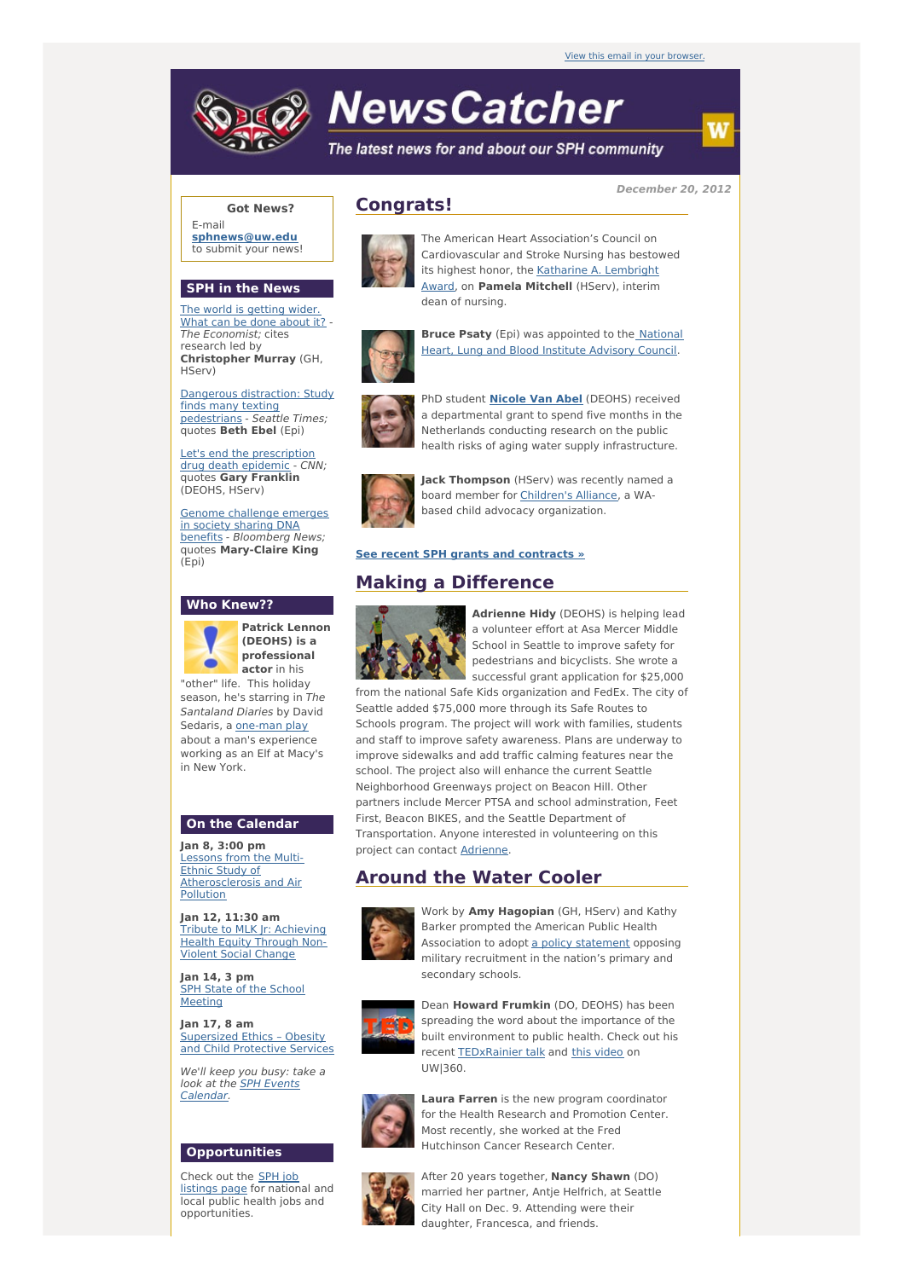

# **NewsCatcher**

The latest news for and about our SPH community

**December 20, 2012**

# **Got News?**

E-mail **[sphnews@uw.edu](mailto:sphnews@uw.edu)** to submit your news!

## **SPH in the News**

The world is [getting](http://engage.washington.edu/site/R?i=cWRLLe1inLTFGhZJuIVTtQ) wider. What can be done about it? - The Economist; cites research led by **Christopher Murray** (GH, HServ)

Dangerous [distraction:](http://engage.washington.edu/site/R?i=Iyh6I9Gk9hHi3IQWKO3Rbw) Study finds many texting pedestrians - Seattle Times; quotes **Beth Ebel** (Epi)

Let's end the [prescription](http://engage.washington.edu/site/R?i=mxvyFbaxKUHTIwNiNiYPmg) drug death epidemic - CNN; quotes **Gary Franklin** (DEOHS, HServ)

Genome challenge emerges in society sharing DNA benefits - [Bloomberg](http://engage.washington.edu/site/R?i=GOiDEcPn_VWOjdpybpKtCw) News; quotes **Mary-Claire King** (Epi)

# **Who Knew??**



**Patrick Lennon (DEOHS) is a professional actor** in his "other" life. This holiday

season, he's starring in The Santaland Diaries by David Sedaris, a [one-man](http://engage.washington.edu/site/R?i=RcJDom1GtkRYdhI92tnVjA) play about a man's experience working as an Elf at Macy's in New York.

### **On the Calendar**

**Jan 8, 3:00 pm** Lessons from the Multi-Ethnic Study of [Atherosclerosis](http://engage.washington.edu/site/R?i=gMFdkbjR1qG07itrHh1Veg) and Air Pollution

**Jan 12, 11:30 am** Tribute to MLK Jr: [Achieving](http://engage.washington.edu/site/R?i=79hRVjDUNR6hJxdC8p2xJQ) Health Equity Through Non-Violent Social Change

**Jan 14, 3 pm** SPH State of the School **[Meeting](http://engage.washington.edu/site/R?i=znGRs3ywiqh03FQP2i6XKA)** 

**Jan 17, 8 am** [Supersized](http://engage.washington.edu/site/R?i=kD6aQn7PvYaYFn1GIhLTXg) Ethics – Obesity and Child Protective Services

We'll keep you busy: take a look at the **SPH Events** [Calendar.](http://engage.washington.edu/site/R?i=34cKfQveCQesQPlGR4Hvrw)

#### **Opportunities**

Check out the SPH job [listings](http://engage.washington.edu/site/R?i=uq4YrmV5HlSf_fdWyBDoTA) page for national and local public health jobs and opportunities.

# **Congrats!**



The American Heart Association's Council on Cardiovascular and Stroke Nursing has bestowed its highest honor, the Katharine A. [Lembright](http://engage.washington.edu/site/R?i=2WdyF5EFasGfgzOA4rF2Cw) Award, on **Pamela Mitchell** (HServ), interim dean of nursing.



**Bruce Psaty** (Epi) was [appointed](http://engage.washington.edu/site/R?i=83TkJsKJ5BRnhjdQpqRVQg) to the National Heart, Lung and Blood Institute Advisory Council.



PhD student **[Nicole](http://engage.washington.edu/site/R?i=bPr7L2__c0osIpoMilEyag) Van Abel** (DEOHS) received a departmental grant to spend five months in the Netherlands conducting research on the public health risks of aging water supply infrastructure.



**Jack Thompson** (HServ) was recently named a board member for [Children's](http://engage.washington.edu/site/R?i=jCb606mM7jYb_LKGdemGxQ) Alliance, a WAbased child advocacy organization.

### **See recent SPH grants and [contracts](http://engage.washington.edu/site/R?i=zPBkSbTAtwfZxFV9QCjL-g) »**

# **Making a Difference**



**Adrienne Hidy** (DEOHS) is helping lead a volunteer effort at Asa Mercer Middle School in Seattle to improve safety for pedestrians and bicyclists. She wrote a successful grant application for \$25,000

from the national Safe Kids organization and FedEx. The city of Seattle added \$75,000 more through its Safe Routes to Schools program. The project will work with families, students and staff to improve safety awareness. Plans are underway to improve sidewalks and add traffic calming features near the school. The project also will enhance the current Seattle Neighborhood Greenways project on Beacon Hill. Other partners include Mercer PTSA and school adminstration, Feet First, Beacon BIKES, and the Seattle Department of Transportation. Anyone interested in volunteering on this project can contact [Adrienne](mailto:ahidy@uw.edu).

# **Around the Water Cooler**



Work by **Amy Hagopian** (GH, HServ) and Kathy Barker prompted the American Public Health Association to adopt a policy [statement](http://engage.washington.edu/site/R?i=aSBiQpDC4D02RAUjFe5rQw) opposing military recruitment in the nation's primary and secondary schools.



Dean **Howard Frumkin** (DO, DEOHS) has been spreading the word about the importance of the built environment to public health. Check out his recent **[TEDxRainier](http://engage.washington.edu/site/R?i=6WuQxecPD_NIBDNiMIW9BA) talk and this [video](http://engage.washington.edu/site/R?i=5t-qrMntFc6HWGmd73waLg)** on UW|360.



**Laura Farren** is the new program coordinator for the Health Research and Promotion Center. Most recently, she worked at the Fred Hutchinson Cancer Research Center.



After 20 years together, **Nancy Shawn** (DO) married her partner, Antje Helfrich, at Seattle City Hall on Dec. 9. Attending were their daughter, Francesca, and friends.